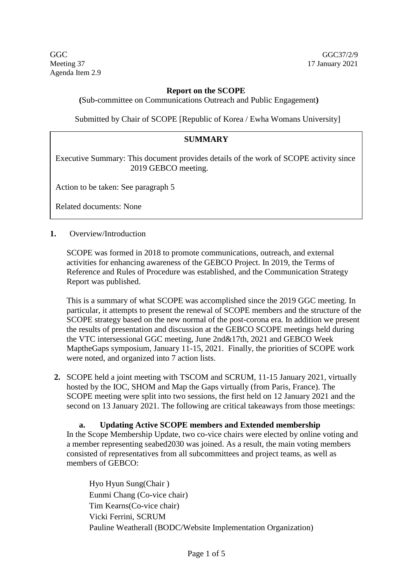GGC GGC37/2/9 Meeting 37 17 January 2021 Agenda Item 2.9

### **Report on the SCOPE**

**(**Sub-committee on Communications Outreach and Public Engagement**)**

Submitted by Chair of SCOPE [Republic of Korea / Ewha Womans University]

#### **SUMMARY**

Executive Summary: This document provides details of the work of SCOPE activity since 2019 GEBCO meeting.

Action to be taken: See paragraph 5

Related documents: None

#### **1.** Overview/Introduction

SCOPE was formed in 2018 to promote communications, outreach, and external activities for enhancing awareness of the GEBCO Project. In 2019, the Terms of Reference and Rules of Procedure was established, and the Communication Strategy Report was published.

This is a summary of what SCOPE was accomplished since the 2019 GGC meeting. In particular, it attempts to present the renewal of SCOPE members and the structure of the SCOPE strategy based on the new normal of the post-corona era. In addition we present the results of presentation and discussion at the GEBCO SCOPE meetings held during the VTC intersessional GGC meeting, June 2nd&17th, 2021 and GEBCO Week MaptheGaps symposium, January 11-15, 2021. Finally, the priorities of SCOPE work were noted, and organized into 7 action lists.

**2.** SCOPE held a joint meeting with TSCOM and SCRUM, 11-15 January 2021, virtually hosted by the IOC, SHOM and Map the Gaps virtually (from Paris, France). The SCOPE meeting were split into two sessions, the first held on 12 January 2021 and the second on 13 January 2021. The following are critical takeaways from those meetings:

### **a. Updating Active SCOPE members and Extended membership**

In the Scope Membership Update, two co-vice chairs were elected by online voting and a member representing seabed2030 was joined. As a result, the main voting members consisted of representatives from all subcommittees and project teams, as well as members of GEBCO:

Hyo Hyun Sung(Chair ) Eunmi Chang (Co-vice chair) Tim Kearns(Co-vice chair) Vicki Ferrini, SCRUM Pauline Weatherall (BODC/Website Implementation Organization)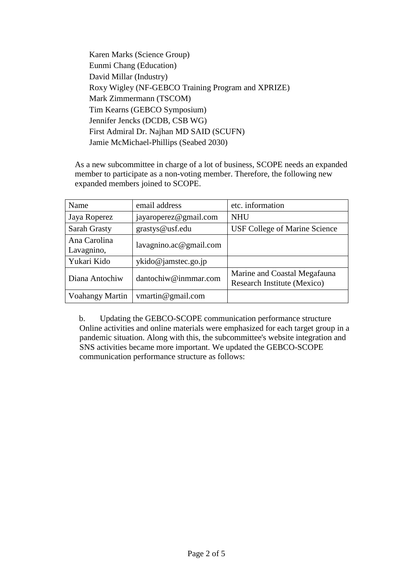Karen Marks (Science Group) Eunmi Chang (Education) David Millar (Industry) Roxy Wigley (NF-GEBCO Training Program and XPRIZE) Mark Zimmermann (TSCOM) Tim Kearns (GEBCO Symposium) Jennifer Jencks (DCDB, CSB WG) First Admiral Dr. Najhan MD SAID (SCUFN) Jamie McMichael-Phillips (Seabed 2030)

As a new subcommittee in charge of a lot of business, SCOPE needs an expanded member to participate as a non-voting member. Therefore, the following new expanded members joined to SCOPE.

| Name                       | email address          | etc. information                                            |
|----------------------------|------------------------|-------------------------------------------------------------|
| Jaya Roperez               | jayaroperez@gmail.com  | <b>NHU</b>                                                  |
| Sarah Grasty               | grastys@usf.edu        | USF College of Marine Science                               |
| Ana Carolina<br>Lavagnino, | lavagnino.ac@gmail.com |                                                             |
| Yukari Kido                | ykido@jamstec.go.jp    |                                                             |
| Diana Antochiw             | dantochiw@inmmar.com   | Marine and Coastal Megafauna<br>Research Institute (Mexico) |
| Voahangy Martin            | vmartin@gmail.com      |                                                             |

b. Updating the GEBCO-SCOPE communication performance structure Online activities and online materials were emphasized for each target group in a pandemic situation. Along with this, the subcommittee's website integration and SNS activities became more important. We updated the GEBCO-SCOPE communication performance structure as follows: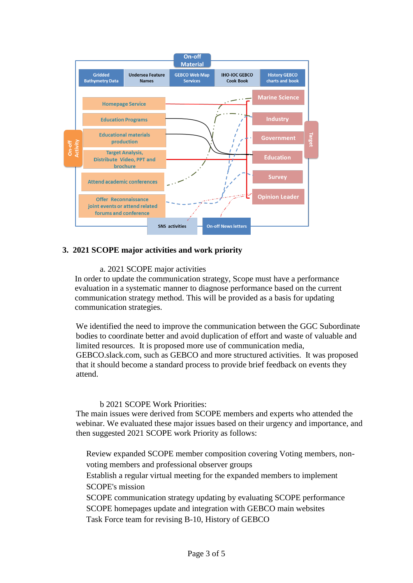

### **3. 2021 SCOPE major activities and work priority**

#### a. 2021 SCOPE major activities

In order to update the communication strategy, Scope must have a performance evaluation in a systematic manner to diagnose performance based on the current communication strategy method. This will be provided as a basis for updating communication strategies.

We identified the need to improve the communication between the GGC Subordinate bodies to coordinate better and avoid duplication of effort and waste of valuable and limited resources. It is proposed more use of communication media, GEBCO.slack.com, such as GEBCO and more structured activities. It was proposed that it should become a standard process to provide brief feedback on events they attend.

### b 2021 SCOPE Work Priorities:

The main issues were derived from SCOPE members and experts who attended the webinar. We evaluated these major issues based on their urgency and importance, and then suggested 2021 SCOPE work Priority as follows:

Review expanded SCOPE member composition covering Voting members, nonvoting members and professional observer groups

Establish a regular virtual meeting for the expanded members to implement SCOPE's mission

SCOPE communication strategy updating by evaluating SCOPE performance SCOPE homepages update and integration with GEBCO main websites Task Force team for revising B-10, History of GEBCO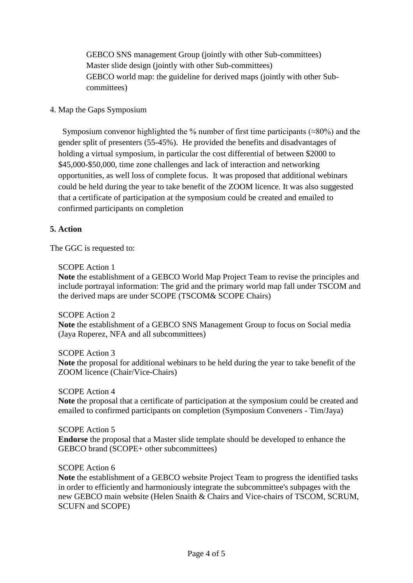GEBCO SNS management Group (jointly with other Sub-committees) Master slide design (jointly with other Sub-committees) GEBCO world map: the guideline for derived maps (jointly with other Subcommittees)

### 4. Map the Gaps Symposium

Symposium convenor highlighted the % number of first time participants ( $\approx 80\%$ ) and the gender split of presenters (55-45%). He provided the benefits and disadvantages of holding a virtual symposium, in particular the cost differential of between \$2000 to \$45,000-\$50,000, time zone challenges and lack of interaction and networking opportunities, as well loss of complete focus. It was proposed that additional webinars could be held during the year to take benefit of the ZOOM licence. It was also suggested that a certificate of participation at the symposium could be created and emailed to confirmed participants on completion

# **5. Action**

The GGC is requested to:

### SCOPE Action 1

**Note** the establishment of a GEBCO World Map Project Team to revise the principles and include portrayal information: The grid and the primary world map fall under TSCOM and the derived maps are under SCOPE (TSCOM& SCOPE Chairs)

### SCOPE Action 2

**Note** the establishment of a GEBCO SNS Management Group to focus on Social media (Jaya Roperez, NFA and all subcommittees)

# SCOPE Action 3

**Note** the proposal for additional webinars to be held during the year to take benefit of the ZOOM licence (Chair/Vice-Chairs)

# SCOPE Action 4

**Note** the proposal that a certificate of participation at the symposium could be created and emailed to confirmed participants on completion (Symposium Conveners - Tim/Jaya)

# SCOPE Action 5

**Endorse** the proposal that a Master slide template should be developed to enhance the GEBCO brand (SCOPE+ other subcommittees)

### SCOPE Action 6

**Note** the establishment of a GEBCO website Project Team to progress the identified tasks in order to efficiently and harmoniously integrate the subcommittee's subpages with the new GEBCO main website (Helen Snaith & Chairs and Vice-chairs of TSCOM, SCRUM, SCUFN and SCOPE)